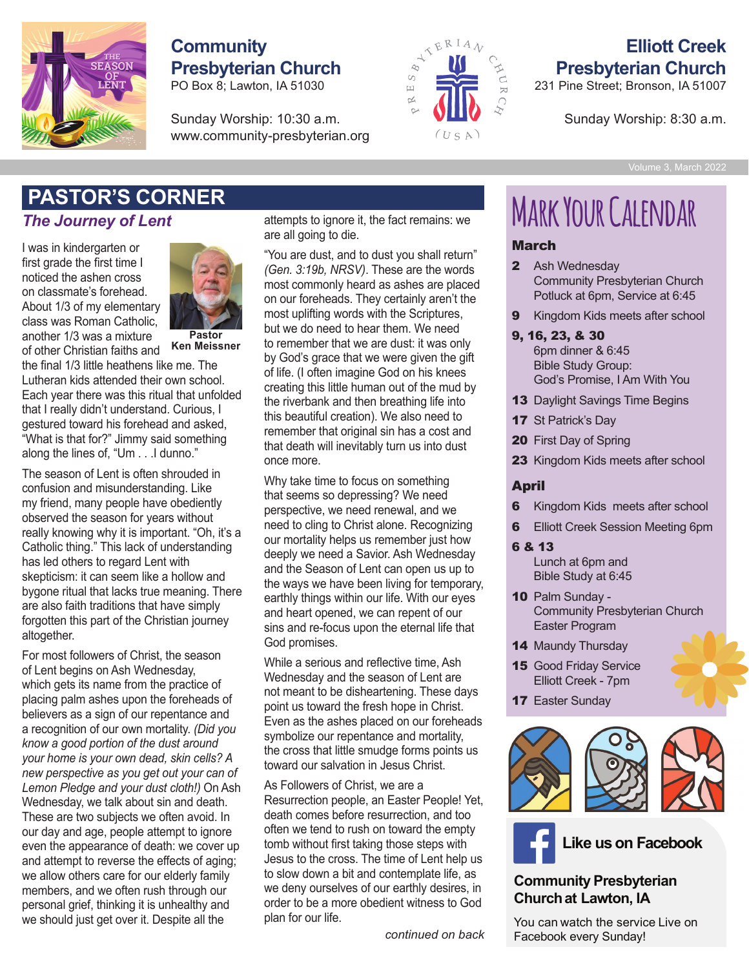

## **Presbyterian Church Community**

POBox 8; Lawton, IA 51030 PO Box 8; Lawton, IA 51030

Sunday Worship: 10:30 a.m. Sunday Worship: 10:30 a.m. www.community-presbyterian.org www.community-presbyterian.org



## **Presbyterian Church Elliott Creek**

<u>.</u><br>231 Pine Street; Bronson, IA 51007<br>.

231 Pine Street; Bronson, IA 51007 Sunday Worship: 8:30 a.m.

### *The Journey of Lent*

I was in kindergarten or first grade the first time I<br>noticed the ashen cross<br>spalacemeta's fambood noticed the ashen cross on classmate's forehead. About 1/3 of my elementary About 175 or my elementary<br>class was Roman Catholic, another 1/3 was a mixture of other Christian faiths and **returned to give praise to** class was Roman Catholic,



**Pastor Ken Meissner Ken Meissner**

the final 1/3 little heathens like me. The Lutheran kids attended their own school.<br>F Each year there was this ritual that unfolded *been given, a favor has been done by* that I really didn't understand. Curious, I *someone. There is a gift and a giver. But* gestured toward his forehead and asked, *there is more. Gratitude also calls for a* "What is that for?" Jimmy said something *response to that gift. We thank the giver* along the lines of, "Um . . .I dunno." *handshake, a hug, a note. A gesture of*

The season of Lent is often shrouded in *gratitude completes the exchange, closes* confusion and misunderstanding. Like *the circle, and allows the love to flow* my friend, many people have obediently *back to the giver." — Don Postema,* observed the season for years without *Space for God* really knowing why it is important. "Oh, it's a Catholic thing." This lack of understanding has led others to regard Lent with nas real sarers to regard hermitter.<br>skepticism: it can seem like a hollow and skepticism. It can seem like a nollow and<br>bygone ritual that lacks true meaning. There are also faith traditions that have simply forgotten this part of the Christian journey<br>altogether. altogether. bygone muar mar iacks true meaning. Th

 $\overline{\phantom{a}}$  For most followers of Christ, the season of Lent begins on Ash Wednesday, which gets its name from the practice of placing palm ashes upon the foreheads of .<br>believers as a sign of our repentance and a recognition of our own mortality. *(Did you* a recognition of our own mortality. *(Did you* know a good portion of the dust around your home is your own dead, skin cells? A new perspective as you get out your can of Lemon Pledge and your dust cloth!) On Ash Wednesday, we talk about sin and death. These are two subjects we often avoid. In our day and age, people attempt to ignore even the appearance of death: we cover up tomb without first tak and attempt to reverse the effects of aging; we allow others care for our elderly family we allow differentiate for our bidding ranking<br>
members, and we often rush through our we deny ou personal grief, thinking it is unhealthy and we should just get over it. Despite all the **Contact American plan for our life.** For most followers of Christ, the season  $\frac{1}{2}$ a recognition or our own mortality. (*Did you* 

attempts to ignore it, the fact remains: we are all going to die. **ER**<br>attempts to ignore it, the fa<br>are all going to die.

"You are dust, and to dust you shall return" *(Gen. 3:19b, NRSV)*. These are the words most commonly heard as ashes are placed Look in the mirror Ken, there have also most commonly heard as ashes are placed<br>on our foreheads. They certainly aren't the most uplifting words with the Scriptures, but we do need to hear them. We need to remember that we are dust: it was only by God's grace that we were given the gift by Sea e glase and the time given are given<br>of life. (I often imagine God on his knees or me. (I often imagine God on his knees<br>creating this little human out of the mud by the riverbank and then breathing life into this beautiful creation). We also need to remember that original sin has a cost and that death will inevitably turn us into dust once more. on our foreneads. They centainly after three  $\frac{1}{2}$ creating this little human out of the

Why take time to focus on something that seems so depressing? We need mat seems so depressing : we need<br>perspective, we need renewal, and we need to cling to Christ alone. Recognizing our mortality helps us remember just how deeply we need a Savior. Ash Wednesday and the Season of Lent can open us up to and the esclesh of Esht san spontastap to an analysis of the ways we have been living for temporary, ale ways we have been living for temporary<br>earthly things within our life. With our eyes and heart opened, we can repent of our sins and re-focus upon the eternal life that God promises. perspective, we need renewal, a  $\epsilon$  and  $\eta$  than  $\eta$  with a thank of the than  $\epsilon$  than  $\epsilon$ *Lord, thank you, for You are the Giver of*

While a serious and reflective time, Ash Wednesday and the season of Lent are not meant to be disheartening. These days point us toward the fresh hope in Christ. Even as the ashes placed on our foreheads *express my honest gratitude. Let the* symbolize our repentance and mortality, *flow back to the giver. Amen.* the cross that little smudge forms points us toward our salvation in Jesus Christ. *Thank you!* Even as the asnes placed on our foreheads

As Followers of Christ, we are a Resurrection people, an Easter People! Yet, death comes before resurrection, and too e attempt to ignore often we tend to rush on toward the empty tomb without first taking those steps with Jesus to the cross. The time of Lent help us the enects of aging, who sadd to the cross. The time of Echt help as<br>r our elderly family who slow down a bit and contemplate life, as we deny ourselves of our earthly desires, in it is unhealthy and order to be a more obedient witness to God plan for our life. *Pastor Ken*

*continued on back*

# **PASTOR'S CORNER**<br>The Journey of Lent attempts to ignore it, the fact remains: we MARK YOUR CALENDAR

#### March

- Potluck at 6pm, Service at 6:45 2 Ash Wednesday Community Presbyterian Church
- **9** Kingdom Kids meets after school
- $9, 16, 23, 8, 30$

6pm dinner & 6:45 **Bible Study Group: Analyze Congregation to homor** God's Promise, I Am With You

- 13 Daylight Savings Time Begins  $\frac{1}{2}$
- The deadline to order is December 5. 17 St Patrick's Day
- **20** First Day of Spring  $\sim$
- 23 Kingdom Kids meets after school

#### April

- **6** Kingdom Kids meets after school
- s Angelste van die Sterne<br>**Sunday School Session M 6** Elliott Creek Session Meeting 6pm
- 6 & 13

Lunch at 6pm and Bible Study at 6:45

- 10 Palm Sunday community Presbyterian Church Easter Program
- 14 Maundy Thursday
- **Both congregations 15** Good Friday Service **trees.** Elliott Creek - 7pm
- $P$ lease donate donate hats,  $P$ **17 Easter Sunday**



**Like us on Facebook** 

#### **Community Presbyterian Churchat Lawton, IA**

You can watch the service Live on Facebook every Sunday!